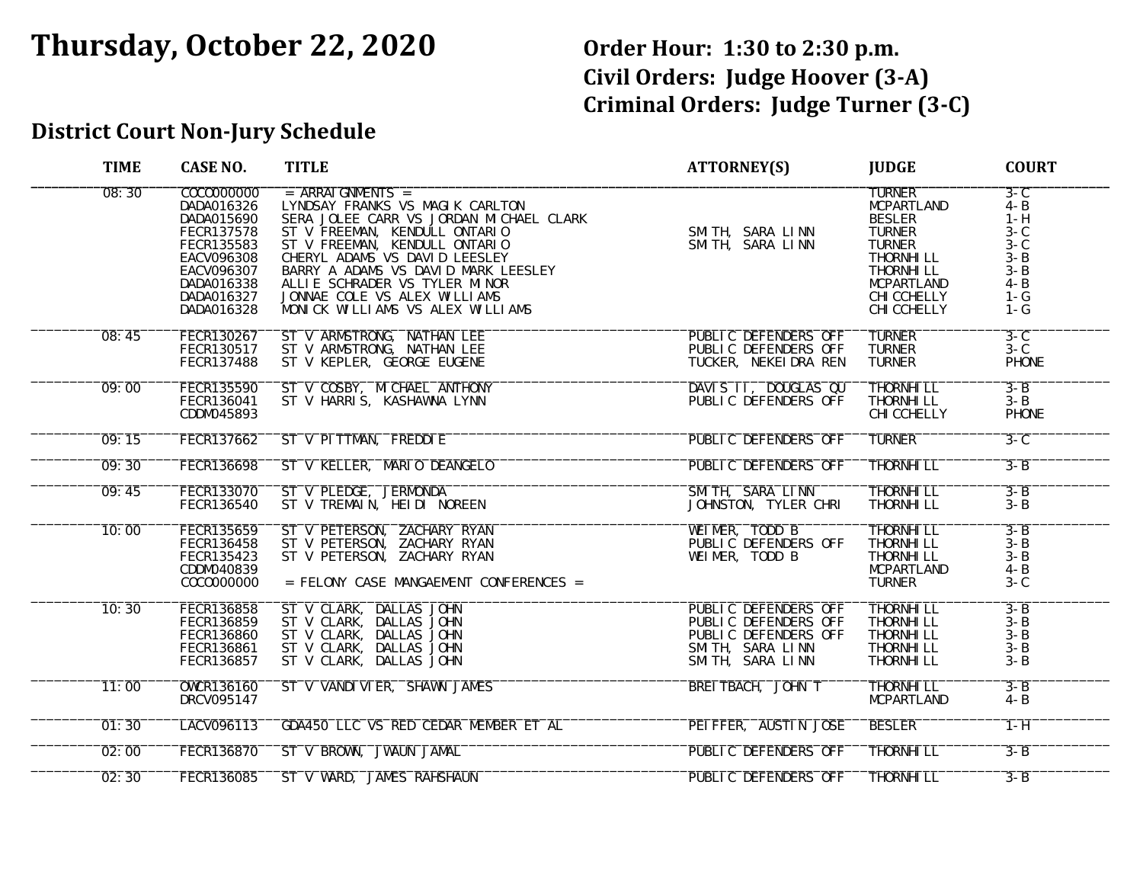# **Thursday, October 22, 2020 Order Hour: 1:30 to 2:30 p.m.**

**Civil Orders: Judge Hoover (3-A) Criminal Orders: Judge Turner (3-C)**

## **District Court Non-Jury Schedule**

| <b>TIME</b> | <b>CASE NO.</b>                                                                                                                                        | <b>TITLE</b>                                                                                                                                                                                                                                                                                                                                       | <b>ATTORNEY(S)</b>                                                                                                  | <b>JUDGE</b>                                                                                                                                                                       | <b>COURT</b>                                                                                             |
|-------------|--------------------------------------------------------------------------------------------------------------------------------------------------------|----------------------------------------------------------------------------------------------------------------------------------------------------------------------------------------------------------------------------------------------------------------------------------------------------------------------------------------------------|---------------------------------------------------------------------------------------------------------------------|------------------------------------------------------------------------------------------------------------------------------------------------------------------------------------|----------------------------------------------------------------------------------------------------------|
| 08:30       | C0C0000000<br>DADA016326<br>DADA015690<br><b>FECR137578</b><br>FECR135583<br><b>EACV096308</b><br>EACV096307<br>DADA016338<br>DADA016327<br>DADA016328 | $=$ ARRAI GNMENTS $=$<br>LYNDSAY FRANKS VS MAGIK CARLTON<br>SERA JOLEE CARR VS JORDAN MICHAEL CLARK<br>ST V FREEMAN, KENDULL ONTARIO<br>ST V FREEMAN, KENDULL ONTARIO<br>CHERYL ADAMS VS DAVID LEESLEY<br>BARRY A ADAMS VS DAVID MARK LEESLEY<br>ALLIE SCHRADER VS TYLER MINOR<br>JONNAE COLE VS ALEX WILLIAMS<br>MONICK WILLIAMS VS ALEX WILLIAMS | SMITH, SARA LINN<br>SMITH, SARA LINN                                                                                | <b>TURNER</b><br><b>MCPARTLAND</b><br><b>BESLER</b><br><b>TURNER</b><br><b>TURNER</b><br>THORNHI LL<br>THORNHI LL<br><b>MCPARTLAND</b><br><b>CHI CCHELLY</b><br><b>CHI CCHELLY</b> | $3-C$<br>$4 - B$<br>$1 - H$<br>$3 - C$<br>$3 - C$<br>$3 - B$<br>$3 - B$<br>$4 - B$<br>$1 - G$<br>$1 - G$ |
| 08:45       | FECR130267<br>FECR130517<br><b>FECR137488</b>                                                                                                          | ST V ARMSTRONG, NATHAN LEE<br>ST V ARMSTRONG, NATHAN LEE<br>ST V KEPLER, GEORGE EUGENE                                                                                                                                                                                                                                                             | PUBLIC DEFENDERS OFF<br>PUBLIC DEFENDERS OFF<br>TUCKER, NEKEI DRA REN                                               | <b>TURNER</b><br><b>TURNER</b><br><b>TURNER</b>                                                                                                                                    | $3-C$<br>$3 - C$<br><b>PHONE</b>                                                                         |
| 09:00       | <b>FECR135590</b><br>FECR136041<br>CDDM045893                                                                                                          | ST V COSBY, MICHAEL ANTHONY<br>ST V HARRIS, KASHAWNA LYNN                                                                                                                                                                                                                                                                                          | DAVIS II, DOUGLAS QU<br>PUBLIC DEFENDERS OFF                                                                        | THORNHI LL<br>THORNHI LL<br><b>CHI CCHELLY</b>                                                                                                                                     | $3 - B$<br>$3 - B$<br><b>PHONE</b>                                                                       |
| 09:15       | FECR137662                                                                                                                                             | ST V PITTMAN, FREDDIE                                                                                                                                                                                                                                                                                                                              | PUBLIC DEFENDERS OFF                                                                                                | <b>TURNER</b>                                                                                                                                                                      | $3 - C$                                                                                                  |
| 09:30       | <b>FECR136698</b>                                                                                                                                      | ST V KELLER, MARIO DEANGELO                                                                                                                                                                                                                                                                                                                        | <b>PUBLIC DEFENDERS OFF</b>                                                                                         | <b>THORNHI LL</b>                                                                                                                                                                  | $3 - B$                                                                                                  |
| 09:45       | <b>FECR133070</b><br><b>FECR136540</b>                                                                                                                 | ST V PLEDGE, JERMONDA<br>ST V TREMAIN, HEIDI NOREEN                                                                                                                                                                                                                                                                                                | SMITH, SARA LINN<br>JOHNSTON, TYLER CHRI                                                                            | <b>THORNHI LL</b><br>THORNHI LL                                                                                                                                                    | $3 - B$<br>$3 - B$                                                                                       |
| 10:00       | FECR135659<br>FECR136458<br>FECR135423<br>CDDM040839<br>C0C0000000                                                                                     | ST V PETERSON, ZACHARY RYAN<br>ST V PETERSON, ZACHARY RYAN<br>ST V PETERSON, ZACHARY RYAN<br>= FELONY CASE MANGAEMENT CONFERENCES =                                                                                                                                                                                                                | WEIMER, TODD B<br>PUBLIC DEFENDERS OFF<br>WEIMER, TODD B                                                            | <b>THORNHI LL</b><br>THORNHI LL<br>THORNHI LL<br><b>MCPARTLAND</b><br><b>TURNER</b>                                                                                                | $3 - B$<br>$3 - B$<br>$3 - B$<br>$4 - B$<br>$3 - C$                                                      |
| 10:30       | <b>FECR136858</b><br><b>FECR136859</b><br><b>FECR136860</b><br>FECR136861<br><b>FECR136857</b>                                                         | ST V CLARK, DALLAS JOHN<br>ST V CLARK, DALLAS JOHN<br>ST V CLARK, DALLAS JOHN<br>ST V CLARK, DALLAS JOHN<br>ST V CLARK, DALLAS JOHN                                                                                                                                                                                                                | <b>PUBLIC DEFENDERS OFF</b><br>PUBLIC DEFENDERS OFF<br>PUBLIC DEFENDERS OFF<br>SMITH, SARA LINN<br>SMITH, SARA LINN | THORNHI LL<br>THORNHI LL<br><b>THORNHI LL</b><br>THORNHI LL<br>THORNHI LL                                                                                                          | $3 - B$<br>$3 - B$<br>$3 - B$<br>$3 - B$<br>$3 - B$                                                      |
| 11:00       | <b>OWCR136160</b><br>DRCV095147                                                                                                                        | ST V VANDI VI ER, SHAWN JAMES                                                                                                                                                                                                                                                                                                                      | <b>BREITBACH, JOHN T</b>                                                                                            | THORNHI LL<br><b>MCPARTLAND</b>                                                                                                                                                    | $3 - B$<br>$4 - B$                                                                                       |
| 01:30       | LACV096113                                                                                                                                             | GDA450 LLC VS RED CEDAR MEMBER ET AL                                                                                                                                                                                                                                                                                                               | PEI FFER, AUSTIN JOSE                                                                                               | <b>BESLER</b>                                                                                                                                                                      | $1 - H$                                                                                                  |
| 02:00       | <b>FECR136870</b>                                                                                                                                      | ST V BROWN, JWAUN JAMAL                                                                                                                                                                                                                                                                                                                            | PUBLIC DEFENDERS OFF                                                                                                | <b>THORNHI LL</b>                                                                                                                                                                  | $3 - B$                                                                                                  |
| 02:30       | <b>FECR136085</b>                                                                                                                                      | ST V WARD, JAMES RAHSHAUN                                                                                                                                                                                                                                                                                                                          | PUBLIC DEFENDERS OFF                                                                                                | <b>THORNHI LL</b>                                                                                                                                                                  | $3 - B$                                                                                                  |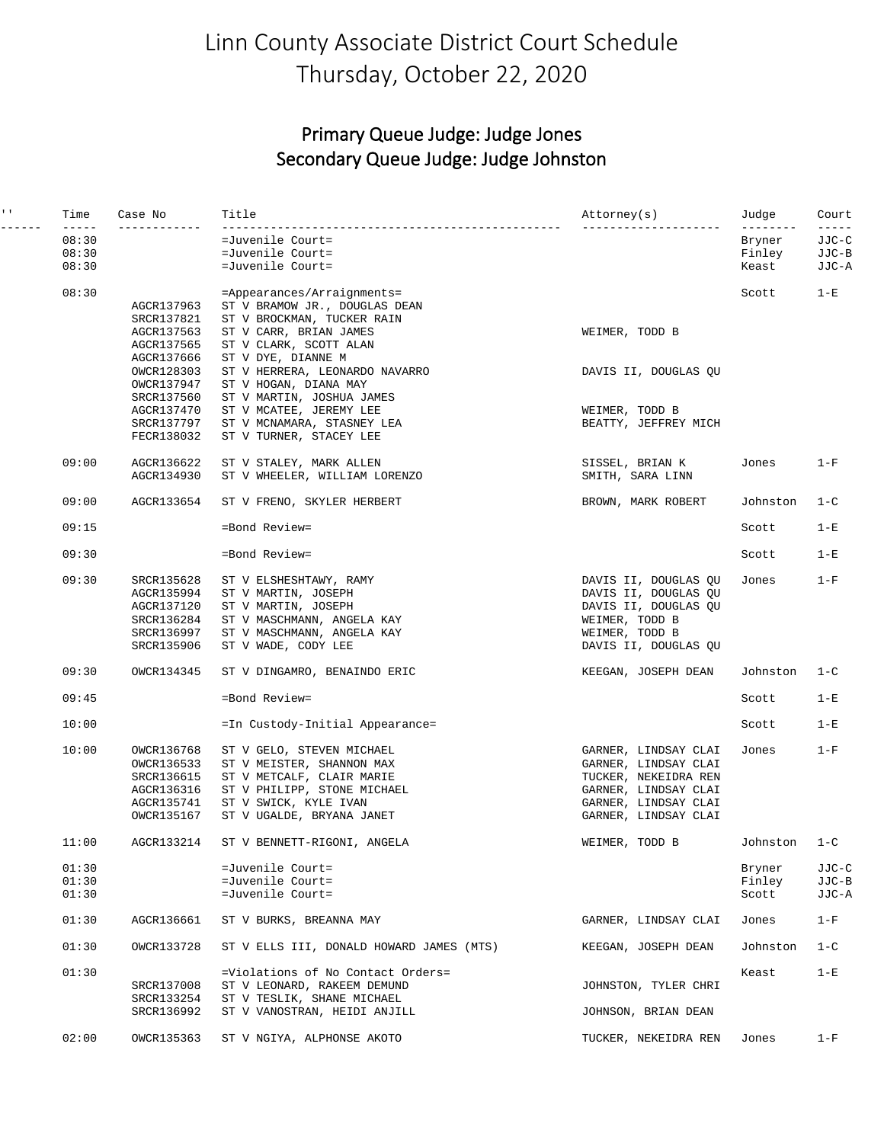## Linn County Associate District Court Schedule Thursday, October 22, 2020

#### Primary Queue Judge: Judge Jones Secondary Queue Judge: Judge Johnston

| $\mathbf{I}=\mathbf{I}$ . | Time                                   | Case No                                                                          | Title                                                                                                                                                                    | Attorney(s)                                                                                                                                  | Judge                                            | Court                                    |
|---------------------------|----------------------------------------|----------------------------------------------------------------------------------|--------------------------------------------------------------------------------------------------------------------------------------------------------------------------|----------------------------------------------------------------------------------------------------------------------------------------------|--------------------------------------------------|------------------------------------------|
|                           | $- - - - -$<br>08:30<br>08:30<br>08:30 |                                                                                  | =Juvenile Court=<br>=Juvenile Court=<br>=Juvenile Court=                                                                                                                 | ---------                                                                                                                                    | $- - - - - - - - -$<br>Bryner<br>Finley<br>Keast | $- - - - - -$<br>JJC-C<br>JJC-B<br>JJC-A |
|                           | 08:30                                  | AGCR137963                                                                       | =Appearances/Arraignments=<br>ST V BRAMOW JR., DOUGLAS DEAN                                                                                                              |                                                                                                                                              | Scott                                            | $1-E$                                    |
|                           |                                        | SRCR137821<br>AGCR137563<br>AGCR137565                                           | ST V BROCKMAN, TUCKER RAIN<br>ST V CARR, BRIAN JAMES<br>ST V CLARK, SCOTT ALAN                                                                                           | WEIMER, TODD B                                                                                                                               |                                                  |                                          |
|                           |                                        | AGCR137666<br>OWCR128303<br>OWCR137947                                           | ST V DYE, DIANNE M<br>ST V HERRERA, LEONARDO NAVARRO<br>ST V HOGAN, DIANA MAY                                                                                            | DAVIS II, DOUGLAS QU                                                                                                                         |                                                  |                                          |
|                           |                                        | SRCR137560<br>AGCR137470<br>SRCR137797<br>FECR138032                             | ST V MARTIN, JOSHUA JAMES<br>ST V MCATEE, JEREMY LEE<br>ST V MCNAMARA, STASNEY LEA<br>ST V TURNER, STACEY LEE                                                            | WEIMER, TODD B<br>BEATTY, JEFFREY MICH                                                                                                       |                                                  |                                          |
|                           | 09:00                                  | AGCR136622<br>AGCR134930                                                         | ST V STALEY, MARK ALLEN<br>ST V WHEELER, WILLIAM LORENZO                                                                                                                 | SISSEL, BRIAN K<br>SMITH, SARA LINN                                                                                                          | Jones                                            | $1-F$                                    |
|                           | 09:00                                  | AGCR133654                                                                       | ST V FRENO, SKYLER HERBERT                                                                                                                                               | BROWN, MARK ROBERT                                                                                                                           | Johnston                                         | $1 - C$                                  |
|                           | 09:15                                  |                                                                                  | =Bond Review=                                                                                                                                                            |                                                                                                                                              | Scott                                            | $1-E$                                    |
|                           | 09:30                                  |                                                                                  | =Bond Review=                                                                                                                                                            |                                                                                                                                              | Scott                                            | $1-E$                                    |
|                           | 09:30                                  | SRCR135628<br>AGCR135994<br>AGCR137120<br>SRCR136284<br>SRCR136997<br>SRCR135906 | ST V ELSHESHTAWY, RAMY<br>ST V MARTIN, JOSEPH<br>ST V MARTIN, JOSEPH<br>ST V MASCHMANN, ANGELA KAY<br>ST V MASCHMANN, ANGELA KAY<br>ST V WADE, CODY LEE                  | DAVIS II, DOUGLAS QU<br>DAVIS II, DOUGLAS QU<br>DAVIS II, DOUGLAS QU<br>WEIMER, TODD B<br>WEIMER, TODD B<br>DAVIS II, DOUGLAS QU             | Jones                                            | $1-F$                                    |
|                           | 09:30                                  | OWCR134345                                                                       | ST V DINGAMRO, BENAINDO ERIC                                                                                                                                             | KEEGAN, JOSEPH DEAN                                                                                                                          | Johnston                                         | $1 - C$                                  |
|                           | 09:45                                  |                                                                                  | =Bond Review=                                                                                                                                                            |                                                                                                                                              | Scott                                            | $1-E$                                    |
|                           | 10:00                                  |                                                                                  | =In Custody-Initial Appearance=                                                                                                                                          |                                                                                                                                              | Scott                                            | $1-E$                                    |
|                           | 10:00                                  | OWCR136768<br>OWCR136533<br>SRCR136615<br>AGCR136316<br>AGCR135741<br>OWCR135167 | ST V GELO, STEVEN MICHAEL<br>ST V MEISTER, SHANNON MAX<br>ST V METCALF, CLAIR MARIE<br>ST V PHILIPP, STONE MICHAEL<br>ST V SWICK, KYLE IVAN<br>ST V UGALDE, BRYANA JANET | GARNER, LINDSAY CLAI<br>GARNER, LINDSAY CLAI<br>TUCKER, NEKEIDRA REN<br>GARNER, LINDSAY CLAI<br>GARNER, LINDSAY CLAI<br>GARNER, LINDSAY CLAI | Jones                                            | $1-F$                                    |
|                           | 11:00                                  | AGCR133214                                                                       | ST V BENNETT-RIGONI, ANGELA                                                                                                                                              | WEIMER, TODD B                                                                                                                               | Johnston                                         | $1 - C$                                  |
|                           | 01:30<br>01:30<br>01:30                |                                                                                  | =Juvenile Court=<br>=Juvenile Court=<br>=Juvenile Court=                                                                                                                 |                                                                                                                                              | Bryner<br>Finley<br>Scott                        | JJC-C<br>JJC-B<br>JJC-A                  |
|                           | 01:30                                  | AGCR136661                                                                       | ST V BURKS, BREANNA MAY                                                                                                                                                  | GARNER, LINDSAY CLAI                                                                                                                         | Jones                                            | $1-F$                                    |
|                           | 01:30                                  | OWCR133728                                                                       | ST V ELLS III, DONALD HOWARD JAMES (MTS)                                                                                                                                 | KEEGAN, JOSEPH DEAN                                                                                                                          | Johnston                                         | $1 - C$                                  |
|                           | 01:30                                  | SRCR137008<br>SRCR133254<br>SRCR136992                                           | =Violations of No Contact Orders=<br>ST V LEONARD, RAKEEM DEMUND<br>ST V TESLIK, SHANE MICHAEL<br>ST V VANOSTRAN, HEIDI ANJILL                                           | JOHNSTON, TYLER CHRI<br>JOHNSON, BRIAN DEAN                                                                                                  | Keast                                            | $1-E$                                    |
|                           | 02:00                                  | OWCR135363                                                                       | ST V NGIYA, ALPHONSE AKOTO                                                                                                                                               | TUCKER, NEKEIDRA REN                                                                                                                         | Jones                                            | $1-F$                                    |